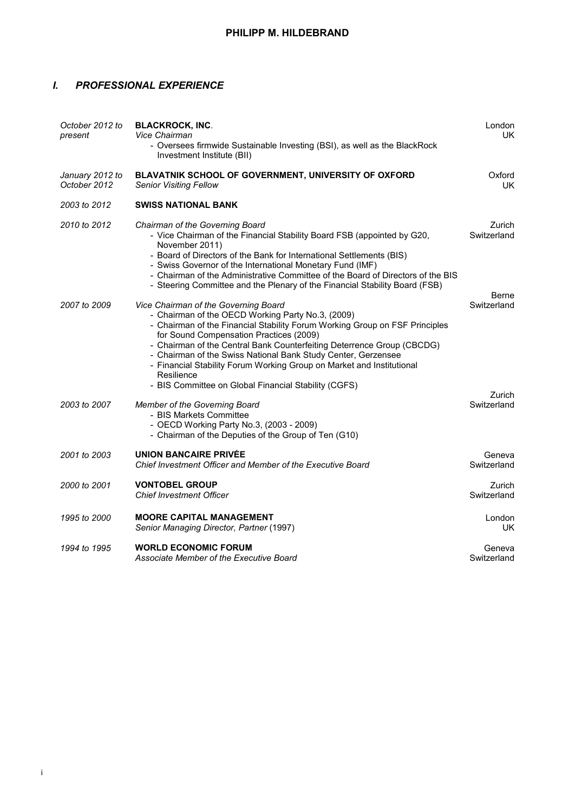## *I. PROFESSIONAL EXPERIENCE*

| October 2012 to<br>present      | <b>BLACKROCK, INC.</b><br>Vice Chairman<br>- Oversees firmwide Sustainable Investing (BSI), as well as the BlackRock<br>Investment Institute (BII)                                                                                                                                                                                                                                                                                                                                                            | London<br>UK.                  |
|---------------------------------|---------------------------------------------------------------------------------------------------------------------------------------------------------------------------------------------------------------------------------------------------------------------------------------------------------------------------------------------------------------------------------------------------------------------------------------------------------------------------------------------------------------|--------------------------------|
| January 2012 to<br>October 2012 | BLAVATNIK SCHOOL OF GOVERNMENT, UNIVERSITY OF OXFORD<br><b>Senior Visiting Fellow</b>                                                                                                                                                                                                                                                                                                                                                                                                                         | Oxford<br>UK.                  |
| 2003 to 2012                    | <b>SWISS NATIONAL BANK</b>                                                                                                                                                                                                                                                                                                                                                                                                                                                                                    |                                |
| 2010 to 2012                    | Chairman of the Governing Board<br>- Vice Chairman of the Financial Stability Board FSB (appointed by G20,<br>November 2011)<br>- Board of Directors of the Bank for International Settlements (BIS)<br>- Swiss Governor of the International Monetary Fund (IMF)<br>- Chairman of the Administrative Committee of the Board of Directors of the BIS<br>- Steering Committee and the Plenary of the Financial Stability Board (FSB)                                                                           | Zurich<br>Switzerland          |
| 2007 to 2009                    | Vice Chairman of the Governing Board<br>- Chairman of the OECD Working Party No.3, (2009)<br>- Chairman of the Financial Stability Forum Working Group on FSF Principles<br>for Sound Compensation Practices (2009)<br>- Chairman of the Central Bank Counterfeiting Deterrence Group (CBCDG)<br>- Chairman of the Swiss National Bank Study Center, Gerzensee<br>- Financial Stability Forum Working Group on Market and Institutional<br>Resilience<br>- BIS Committee on Global Financial Stability (CGFS) | Berne<br>Switzerland<br>Zurich |
| 2003 to 2007                    | Member of the Governing Board<br>- BIS Markets Committee<br>- OECD Working Party No.3, (2003 - 2009)<br>- Chairman of the Deputies of the Group of Ten (G10)                                                                                                                                                                                                                                                                                                                                                  | Switzerland                    |
| 2001 to 2003                    | <b>UNION BANCAIRE PRIVÉE</b><br>Chief Investment Officer and Member of the Executive Board                                                                                                                                                                                                                                                                                                                                                                                                                    | Geneva<br>Switzerland          |
| 2000 to 2001                    | <b>VONTOBEL GROUP</b><br><b>Chief Investment Officer</b>                                                                                                                                                                                                                                                                                                                                                                                                                                                      | Zurich<br>Switzerland          |
| 1995 to 2000                    | <b>MOORE CAPITAL MANAGEMENT</b><br>Senior Managing Director, Partner (1997)                                                                                                                                                                                                                                                                                                                                                                                                                                   | London<br>UK                   |
| 1994 to 1995                    | <b>WORLD ECONOMIC FORUM</b><br>Associate Member of the Executive Board                                                                                                                                                                                                                                                                                                                                                                                                                                        | Geneva<br>Switzerland          |